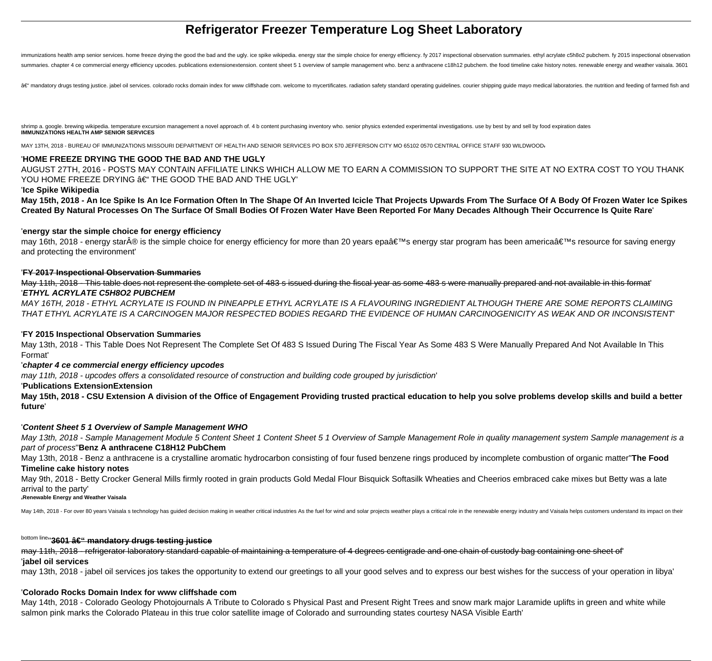# **Refrigerator Freezer Temperature Log Sheet Laboratory**

immunizations health amp senior services. home freeze drying the good the bad and the ugly. ice spike wikipedia. energy star the simple choice for energy efficiency. fy 2017 inspectional observation summaries. ethyl acryla summaries. chapter 4 ce commercial energy efficiency upcodes. publications extensionextension. content sheet 5 1 overview of sample management who. benz a anthracene c18h12 pubchem. the food timeline cake history notes. re

â€" mandatory drugs testing justice. jabel oil services. colorado rocks domain index for www cliffshade com. welcome to mycertificates. radiation safety standard operating guidelines. courier shipping guide mayo medical l

shrimp a. google, brewing wikipedia, temperature excursion management a novel approach of. 4 b content purchasing inventory who, senior physics extended experimental investigations, use by best by and sell by food expirati **IMMUNIZATIONS HEALTH AMP SENIOR SERVICES**

MAY 13TH, 2018 - BUREAU OF IMMUNIZATIONS MISSOURI DEPARTMENT OF HEALTH AND SENIOR SERVICES PO BOX 570 JEFFERSON CITY MO 65102 0570 CENTRAL OFFICE STAFF 930 WILDWOOD,

#### '**HOME FREEZE DRYING THE GOOD THE BAD AND THE UGLY**

AUGUST 27TH, 2016 - POSTS MAY CONTAIN AFFILIATE LINKS WHICH ALLOW ME TO EARN A COMMISSION TO SUPPORT THE SITE AT NO EXTRA COST TO YOU THANK YOU HOME FREEZE DRYING â€" THE GOOD THE BAD AND THE UGLY'

#### '**Ice Spike Wikipedia**

**May 15th, 2018 - An Ice Spike Is An Ice Formation Often In The Shape Of An Inverted Icicle That Projects Upwards From The Surface Of A Body Of Frozen Water Ice Spikes Created By Natural Processes On The Surface Of Small Bodies Of Frozen Water Have Been Reported For Many Decades Although Their Occurrence Is Quite Rare**'

#### '**energy star the simple choice for energy efficiency**

may 16th, 2018 - energy star® is the simple choice for energy efficiency for more than 20 years epa's energy star program has been america's resource for saving energy and protecting the environment'

#### '**FY 2017 Inspectional Observation Summaries**

May 11th, 2018 - This table does not represent the complete set of 483 s issued during the fiscal year as some 483 s were manually prepared and not available in this format'

#### '**ETHYL ACRYLATE C5H8O2 PUBCHEM**

MAY 16TH, 2018 - ETHYL ACRYLATE IS FOUND IN PINEAPPLE ETHYL ACRYLATE IS A FLAVOURING INGREDIENT ALTHOUGH THERE ARE SOME REPORTS CLAIMING THAT ETHYL ACRYLATE IS A CARCINOGEN MAJOR RESPECTED BODIES REGARD THE EVIDENCE OF HUMAN CARCINOGENICITY AS WEAK AND OR INCONSISTENT'

#### '**FY 2015 Inspectional Observation Summaries**

May 13th, 2018 - This Table Does Not Represent The Complete Set Of 483 S Issued During The Fiscal Year As Some 483 S Were Manually Prepared And Not Available In This Format'

#### '**chapter 4 ce commercial energy efficiency upcodes**

may 11th, 2018 - upcodes offers a consolidated resource of construction and building code grouped by jurisdiction'

#### '**Publications ExtensionExtension**

**May 15th, 2018 - CSU Extension A division of the Office of Engagement Providing trusted practical education to help you solve problems develop skills and build a better future**'

#### '**Content Sheet 5 1 Overview of Sample Management WHO**

May 13th, 2018 - Sample Management Module 5 Content Sheet 1 Content Sheet 5 1 Overview of Sample Management Role in quality management system Sample management is a part of process''**Benz A anthracene C18H12 PubChem**

May 13th, 2018 - Benz a anthracene is a crystalline aromatic hydrocarbon consisting of four fused benzene rings produced by incomplete combustion of organic matter''**The Food Timeline cake history notes**

May 9th, 2018 - Betty Crocker General Mills firmly rooted in grain products Gold Medal Flour Bisquick Softasilk Wheaties and Cheerios embraced cake mixes but Betty was a late arrival to the party'

#### '**Renewable Energy and Weather Vaisala**

May 14th, 2018 - For over 80 years Vaisala s technology has guided decision making in weather critical industries As the fuel for wind and solar projects weather plays a critical role in the renewable energy industry and V

# bottom line<sub>"3601</sub> a E" mandatory drugs testing justice

may 11th, 2018 - refrigerator laboratory standard capable of maintaining a temperature of 4 degrees centigrade and one chain of custody bag containing one sheet of' '**jabel oil services**

may 13th, 2018 - jabel oil services jos takes the opportunity to extend our greetings to all your good selves and to express our best wishes for the success of your operation in libya'

#### '**Colorado Rocks Domain Index for www cliffshade com**

May 14th, 2018 - Colorado Geology Photojournals A Tribute to Colorado s Physical Past and Present Right Trees and snow mark major Laramide uplifts in green and white while salmon pink marks the Colorado Plateau in this true color satellite image of Colorado and surrounding states courtesy NASA Visible Earth'